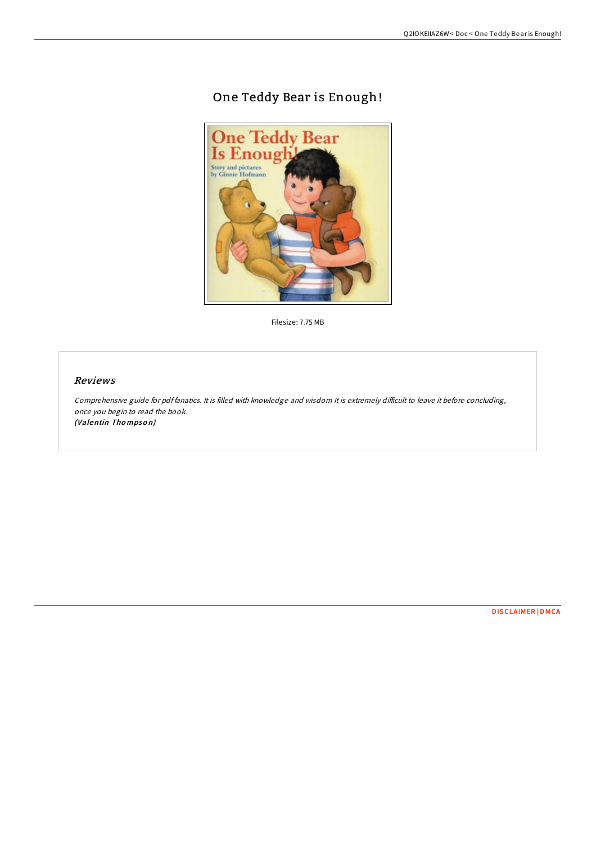# One Teddy Bear is Enough!



Filesize: 7.75 MB

## Reviews

Comprehensive guide for pdf fanatics. It is filled with knowledge and wisdom It is extremely difficult to leave it before concluding, once you begin to read the book. (Valentin Thompson)

[DISCLAIMER](http://almighty24.tech/disclaimer.html) | [DMCA](http://almighty24.tech/dmca.html)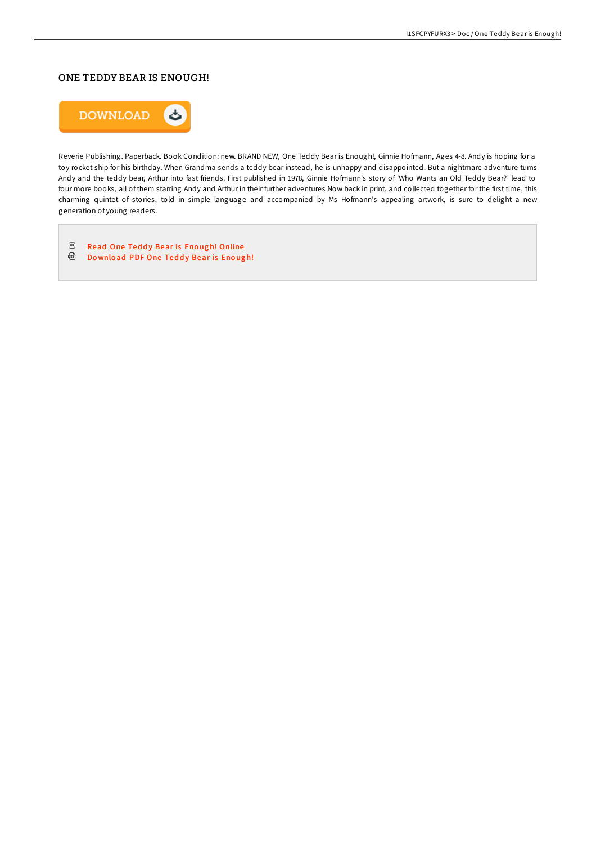# ONE TEDDY BEAR IS ENOUGH!



Reverie Publishing. Paperback. Book Condition: new. BRAND NEW, One Teddy Bear is Enough!, Ginnie Hofmann, Ages 4-8. Andy is hoping for a toy rocket ship for his birthday. When Grandma sends a teddy bear instead, he is unhappy and disappointed. But a nightmare adventure turns Andy and the teddy bear, Arthur into fast friends. First published in 1978, Ginnie Hofmann's story of 'Who Wants an Old Teddy Bear?' lead to four more books, all of them starring Andy and Arthur in their further adventures Now back in print, and collected together for the first time, this charming quintet of stories, told in simple language and accompanied by Ms Hofmann's appealing artwork, is sure to delight a new generation of young readers.

 $_{\rm PDF}$ Read One Teddy Bear is Enough! [Online](http://almighty24.tech/one-teddy-bear-is-enough.html) **Download PDF One Teddy [Bear](http://almighty24.tech/one-teddy-bear-is-enough.html) is Enough!**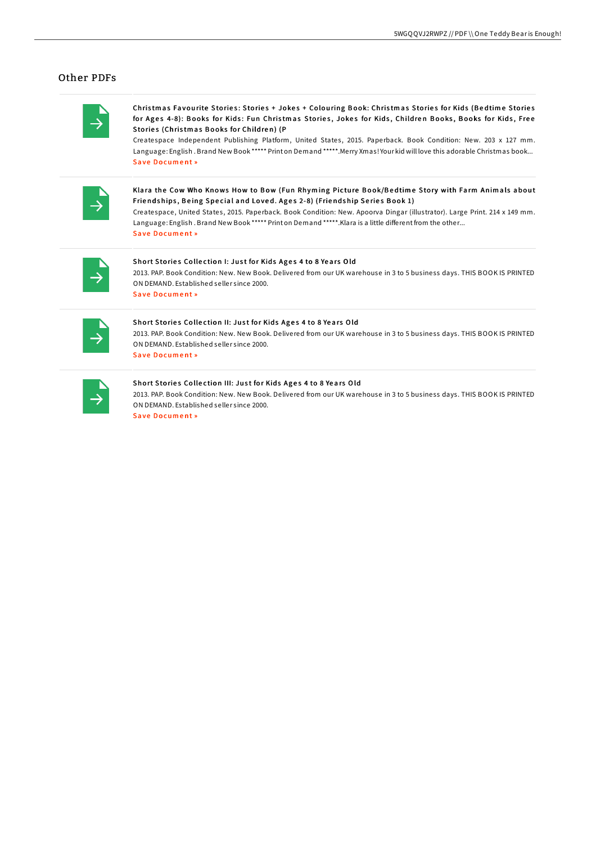### **Other PDFs**

Christmas Favourite Stories: Stories + Jokes + Colouring Book: Christmas Stories for Kids (Bedtime Stories for Ages 4-8): Books for Kids: Fun Christmas Stories, Jokes for Kids, Children Books, Books for Kids, Free Stories (Christmas Books for Children) (P

Createspace Independent Publishing Platform, United States, 2015. Paperback. Book Condition: New. 203 x 127 mm. Language: English. Brand New Book \*\*\*\*\* Print on Demand \*\*\*\*\*. Merry Xmas! Your kid will love this adorable Christmas book... **Save Document**»

Klara the Cow Who Knows How to Bow (Fun Rhyming Picture Book/Bedtime Story with Farm Animals about Friendships, Being Special and Loved. Ages 2-8) (Friendship Series Book 1)

Createspace, United States, 2015. Paperback. Book Condition: New. Apoorva Dingar (illustrator). Large Print. 214 x 149 mm. Language: English. Brand New Book \*\*\*\*\* Print on Demand \*\*\*\*\*. Klara is a little different from the other... Save Document »

#### Short Stories Collection I: Just for Kids Ages 4 to 8 Years Old

2013. PAP. Book Condition: New. New Book. Delivered from our UK warehouse in 3 to 5 business days. THIS BOOK IS PRINTED ON DEMAND. Established seller since 2000. Save Document»

#### Short Stories Collection II: Just for Kids Ages 4 to 8 Years Old

2013. PAP. Book Condition: New. New Book. Delivered from our UK warehouse in 3 to 5 business days. THIS BOOK IS PRINTED ON DEMAND. Established seller since 2000.

Save Document»

#### Short Stories Collection III: Just for Kids Ages 4 to 8 Years Old

2013. PAP. Book Condition: New. New Book. Delivered from our UK warehouse in 3 to 5 business days. THIS BOOK IS PRINTED ON DEMAND. Established seller since 2000.

**Save Document**»